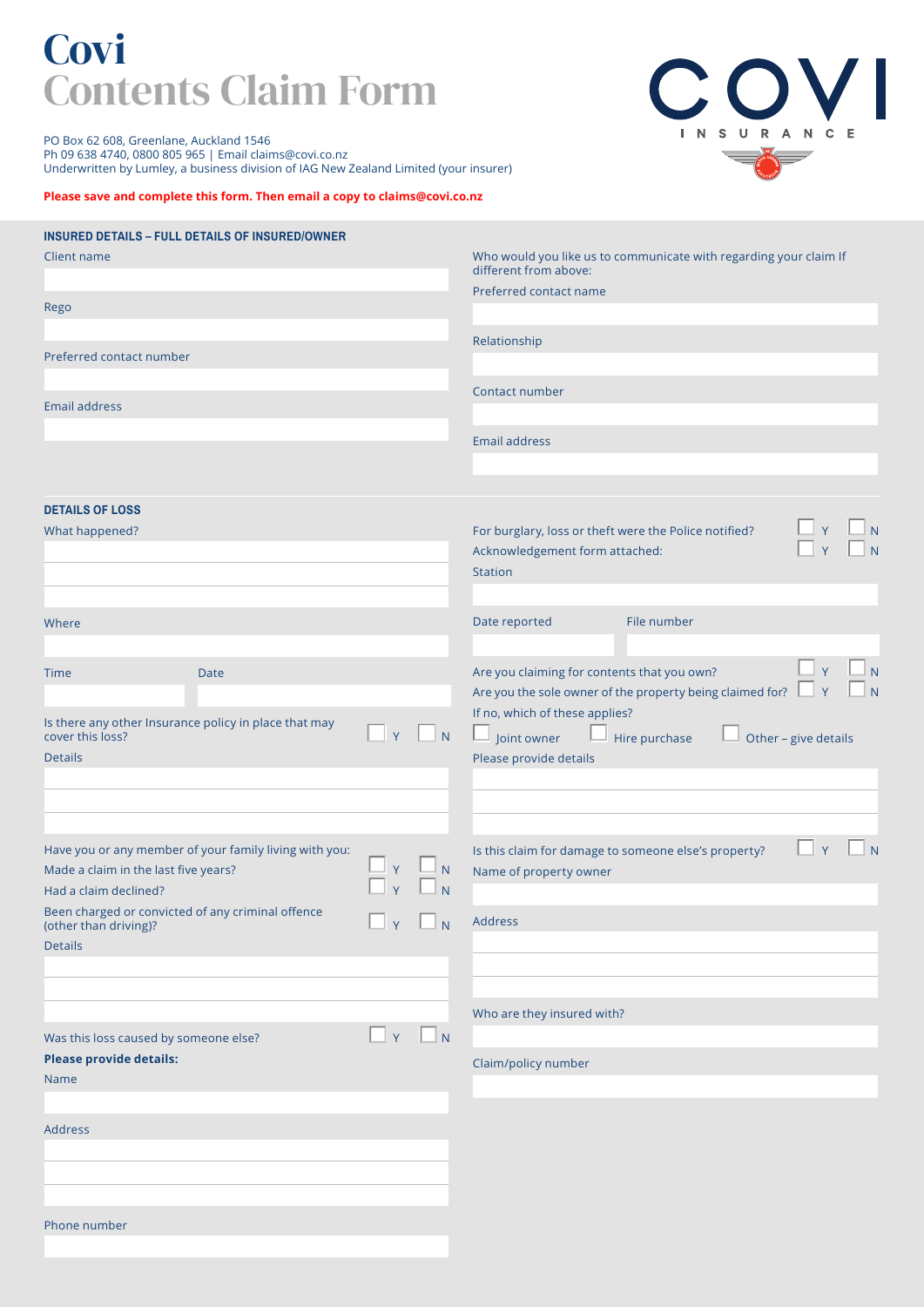# **Covi** Contents Claim Form

COVI INSURANCE  $\overline{}$ 

PO Box 62 608, Greenlane, Auckland 1546 Ph 09 638 4740, 0800 805 965 | Email claims@covi.co.nz Underwritten by Lumley, a business division of IAG New Zealand Limited (your insurer)

## **Please save and complete this form. Then email a copy to claims@covi.co.nz**

| <b>INSURED DETAILS - FULL DETAILS OF INSURED/OWNER</b>                                         |  |                           |                     |                                                                                            |                                                           |                      |  |  |
|------------------------------------------------------------------------------------------------|--|---------------------------|---------------------|--------------------------------------------------------------------------------------------|-----------------------------------------------------------|----------------------|--|--|
| Client name                                                                                    |  |                           |                     | Who would you like us to communicate with regarding your claim If<br>different from above: |                                                           |                      |  |  |
|                                                                                                |  |                           |                     | Preferred contact name                                                                     |                                                           |                      |  |  |
| Rego                                                                                           |  |                           |                     |                                                                                            |                                                           |                      |  |  |
|                                                                                                |  |                           |                     |                                                                                            |                                                           |                      |  |  |
| Preferred contact number                                                                       |  |                           |                     | Relationship                                                                               |                                                           |                      |  |  |
|                                                                                                |  |                           |                     |                                                                                            |                                                           |                      |  |  |
| <b>Email address</b>                                                                           |  |                           |                     | Contact number                                                                             |                                                           |                      |  |  |
|                                                                                                |  |                           |                     |                                                                                            |                                                           |                      |  |  |
|                                                                                                |  |                           |                     | <b>Email address</b>                                                                       |                                                           |                      |  |  |
|                                                                                                |  |                           |                     |                                                                                            |                                                           |                      |  |  |
| <b>DETAILS OF LOSS</b>                                                                         |  |                           |                     |                                                                                            |                                                           |                      |  |  |
| What happened?                                                                                 |  |                           |                     | For burglary, loss or theft were the Police notified?                                      |                                                           |                      |  |  |
|                                                                                                |  |                           |                     | Acknowledgement form attached:                                                             |                                                           |                      |  |  |
|                                                                                                |  |                           | Station             |                                                                                            |                                                           |                      |  |  |
|                                                                                                |  |                           |                     |                                                                                            |                                                           |                      |  |  |
| Where                                                                                          |  |                           |                     | Date reported                                                                              | File number                                               |                      |  |  |
|                                                                                                |  |                           |                     |                                                                                            |                                                           |                      |  |  |
| <b>Date</b><br>Time                                                                            |  |                           |                     | Are you claiming for contents that you own?                                                |                                                           | N                    |  |  |
|                                                                                                |  |                           |                     |                                                                                            | Are you the sole owner of the property being claimed for? | Y                    |  |  |
| Is there any other Insurance policy in place that may                                          |  |                           |                     | If no, which of these applies?                                                             |                                                           |                      |  |  |
| Y<br>$\overline{N}$<br>cover this loss?                                                        |  |                           |                     | Joint owner                                                                                | Hire purchase                                             | Other - give details |  |  |
| <b>Details</b>                                                                                 |  |                           |                     | Please provide details                                                                     |                                                           |                      |  |  |
|                                                                                                |  |                           |                     |                                                                                            |                                                           |                      |  |  |
|                                                                                                |  |                           |                     |                                                                                            |                                                           |                      |  |  |
|                                                                                                |  |                           |                     |                                                                                            |                                                           |                      |  |  |
| Have you or any member of your family living with you:<br>Made a claim in the last five years? |  |                           | ${\sf N}$           | Is this claim for damage to someone else's property?<br>Name of property owner             |                                                           | Y                    |  |  |
| Had a claim declined?                                                                          |  |                           |                     |                                                                                            |                                                           |                      |  |  |
| Been charged or convicted of any criminal offence                                              |  |                           |                     |                                                                                            |                                                           |                      |  |  |
| (other than driving)?<br><b>Details</b>                                                        |  | $\Box_Y$ $\Box_N$ Address |                     |                                                                                            |                                                           |                      |  |  |
|                                                                                                |  |                           |                     |                                                                                            |                                                           |                      |  |  |
|                                                                                                |  |                           |                     |                                                                                            |                                                           |                      |  |  |
|                                                                                                |  |                           |                     | Who are they insured with?                                                                 |                                                           |                      |  |  |
| Was this loss caused by someone else?                                                          |  | Y                         | $\Box$ N            |                                                                                            |                                                           |                      |  |  |
| <b>Please provide details:</b>                                                                 |  |                           | Claim/policy number |                                                                                            |                                                           |                      |  |  |
| Name                                                                                           |  |                           |                     |                                                                                            |                                                           |                      |  |  |
|                                                                                                |  |                           |                     |                                                                                            |                                                           |                      |  |  |
| <b>Address</b>                                                                                 |  |                           |                     |                                                                                            |                                                           |                      |  |  |
|                                                                                                |  |                           |                     |                                                                                            |                                                           |                      |  |  |
|                                                                                                |  |                           |                     |                                                                                            |                                                           |                      |  |  |
|                                                                                                |  |                           |                     |                                                                                            |                                                           |                      |  |  |
| Phone number                                                                                   |  |                           |                     |                                                                                            |                                                           |                      |  |  |